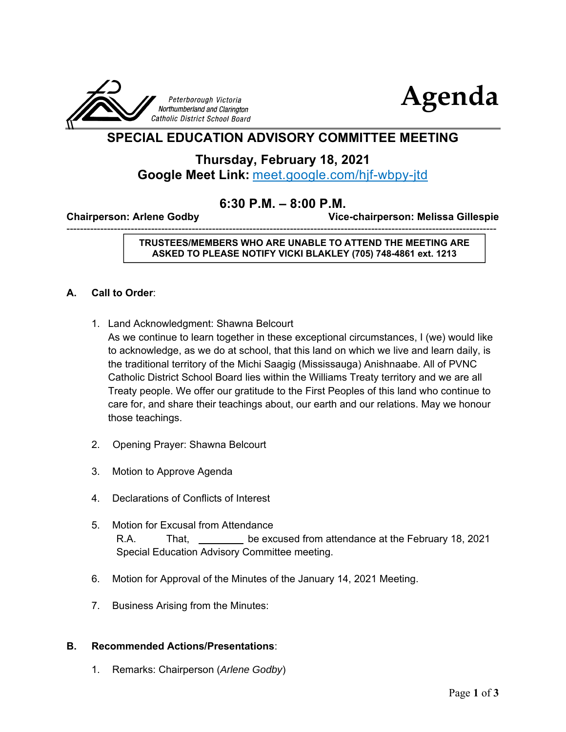



# **SPECIAL EDUCATION ADVISORY COMMITTEE MEETING**

## **Thursday, February 18, 2021 Google Meet Link:** meet.google.com/hjf-wbpy-jtd

## **6:30 P.M. – 8:00 P.M.**

-------------------------------------------------------------------------------------------------------------------------------

**Chairperson: Arlene Godby Vice-chairperson: Melissa Gillespie** 

**TRUSTEES/MEMBERS WHO ARE UNABLE TO ATTEND THE MEETING ARE ASKED TO PLEASE NOTIFY VICKI BLAKLEY (705) 748-4861 ext. 1213** 

### **A. Call to Order**:

1. Land Acknowledgment: Shawna Belcourt

As we continue to learn together in these exceptional circumstances, I (we) would like to acknowledge, as we do at school, that this land on which we live and learn daily, is the traditional territory of the Michi Saagig (Mississauga) Anishnaabe. All of PVNC Catholic District School Board lies within the Williams Treaty territory and we are all Treaty people. We offer our gratitude to the First Peoples of this land who continue to care for, and share their teachings about, our earth and our relations. May we honour those teachings.

- 2. Opening Prayer: Shawna Belcourt
- 3. Motion to Approve Agenda
- 4. Declarations of Conflicts of Interest
- 5. Motion for Excusal from Attendance R.A. That, be excused from attendance at the February 18, 2021 Special Education Advisory Committee meeting.
- 6. Motion for Approval of the Minutes of the January 14, 2021 Meeting.
- 7. Business Arising from the Minutes:

### **B. Recommended Actions/Presentations**:

1. Remarks: Chairperson (*Arlene Godby*)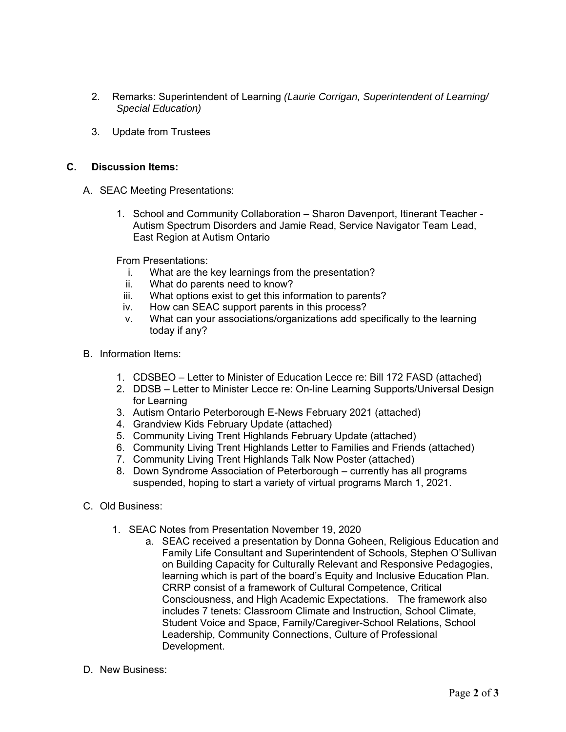- 2. Remarks: Superintendent of Learning *(Laurie Corrigan, Superintendent of Learning/ Special Education)*
- 3. Update from Trustees

#### **C. Discussion Items:**

- A. SEAC Meeting Presentations:
	- 1. School and Community Collaboration Sharon Davenport, Itinerant Teacher Autism Spectrum Disorders and Jamie Read, Service Navigator Team Lead, East Region at Autism Ontario

From Presentations:

- i. What are the key learnings from the presentation?
- ii. What do parents need to know?
- iii. What options exist to get this information to parents?
- iv. How can SEAC support parents in this process?
- v. What can your associations/organizations add specifically to the learning today if any?
- B. Information Items:
	- 1. CDSBEO Letter to Minister of Education Lecce re: Bill 172 FASD (attached)
	- 2. DDSB Letter to Minister Lecce re: On-line Learning Supports/Universal Design for Learning
	- 3. Autism Ontario Peterborough E-News February 2021 (attached)
	- 4. Grandview Kids February Update (attached)
	- 5. Community Living Trent Highlands February Update (attached)
	- 6. Community Living Trent Highlands Letter to Families and Friends (attached)
	- 7. Community Living Trent Highlands Talk Now Poster (attached)
	- 8. Down Syndrome Association of Peterborough currently has all programs suspended, hoping to start a variety of virtual programs March 1, 2021.
- C. Old Business:
	- 1. SEAC Notes from Presentation November 19, 2020
		- a. SEAC received a presentation by Donna Goheen, Religious Education and Family Life Consultant and Superintendent of Schools, Stephen O'Sullivan on Building Capacity for Culturally Relevant and Responsive Pedagogies, learning which is part of the board's Equity and Inclusive Education Plan. CRRP consist of a framework of Cultural Competence, Critical Consciousness, and High Academic Expectations. The framework also includes 7 tenets: Classroom Climate and Instruction, School Climate, Student Voice and Space, Family/Caregiver-School Relations, School Leadership, Community Connections, Culture of Professional Development.
- D. New Business: